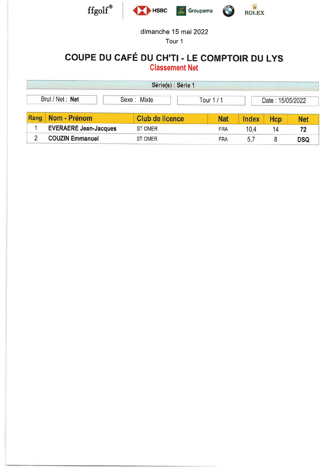

Tour <sup>1</sup>

### COUPE DU CAFÉ OU CH'TI . LE COMPTOIR DU LYS Classement Net

|                      | Série(s) : Série 1 |            |       |                  |     |
|----------------------|--------------------|------------|-------|------------------|-----|
| Brut / Net: Net      | Sexe: Mixte        | Tour $1/1$ |       | Date: 15/05/2022 |     |
| Rang<br>Nom - Prénom | Club de licence    | <b>Nat</b> | Index | Hcn              | Net |

| <b>INVIII - FIGHVIII</b>     | <b>Club de licelice</b> | <b>Ndl</b> |  |     |
|------------------------------|-------------------------|------------|--|-----|
| <b>EVERAERE Jean-Jacques</b> | <b>ST OMER</b>          | FRA        |  |     |
| <b>COUZIN Emmanuel</b>       | ' OMER                  | FRA        |  | DSQ |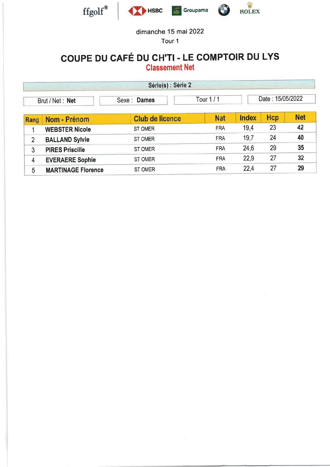

Tour <sup>1</sup>

### COUPE DU CAFÉ OU CH'TI . LE COMPTOIR DU LYS Classement Net

|      |                           | Série(s) : Série 2     |            |              |                  |            |
|------|---------------------------|------------------------|------------|--------------|------------------|------------|
|      | Brut / Net: Net           | Sexe : <b>Dames</b>    | Tour $1/1$ |              | Date: 15/05/2022 |            |
| Rang | Nom - Prénom              | <b>Club de licence</b> | <b>Nat</b> | <b>Index</b> | Hcp              | <b>Net</b> |
|      | <b>WEBSTER Nicole</b>     | <b>ST OMER</b>         | <b>FRA</b> | 19,4         | 23               | 42         |
| 2    | <b>BALLAND Sylvie</b>     | ST OMER                | <b>FRA</b> | 19,7         | 24               | 40         |
| 3    | <b>PIRES Priscille</b>    | <b>ST OMER</b>         | <b>FRA</b> | 24,6         | 29               | 35         |
| 4    | <b>EVERAERE Sophie</b>    | ST OMER                | <b>FRA</b> | 22,9         | 27               | 32         |
| 5    | <b>MARTINAGE Florence</b> | <b>ST OMER</b>         | <b>FRA</b> | 22,4         | 27               | 29         |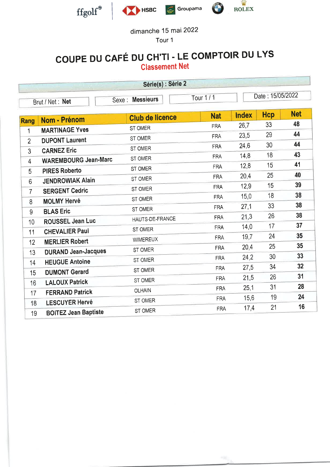

Tour <sup>1</sup>

### COUPE DU cAFÉ OU CH'TI - LE COMPTOIR DU LYS Classement Net

|                |                                                   | Série(s) : Série 2        |                 |              |                  |            |
|----------------|---------------------------------------------------|---------------------------|-----------------|--------------|------------------|------------|
|                | Brut / Net: Net                                   | <b>Messieurs</b><br>Sexe: | <b>Tour 1/1</b> |              | Date: 15/05/2022 |            |
|                | Nom - Prénom                                      | <b>Club de licence</b>    | <b>Nat</b>      | <b>Index</b> | <b>Hcp</b>       | <b>Net</b> |
| <b>Rang</b>    | <b>MARTINAGE Yves</b>                             | ST OMER                   | <b>FRA</b>      | 26,7         | 33               | 48         |
| 1              | <b>DUPONT Laurent</b>                             | ST OMER                   | <b>FRA</b>      | 23,5         | 29               | 44         |
| $\overline{2}$ |                                                   | ST OMER                   | <b>FRA</b>      | 24,6         | 30               | 44         |
| $\overline{3}$ | <b>CARNEZ Eric</b><br><b>WAREMBOURG Jean-Marc</b> | ST OMER                   | <b>FRA</b>      | 14,8         | 18               | 43         |
| $\overline{4}$ |                                                   | ST OMER                   | <b>FRA</b>      | 12,8         | 15               | 41         |
| 5              | <b>PIRES Roberto</b>                              | ST OMER                   | <b>FRA</b>      | 20,4         | 25               | 40         |
| 6              | <b>JENDROWIAK Alain</b>                           | ST OMER                   | <b>FRA</b>      | 12,9         | 15               | 39         |
| $\overline{7}$ | <b>SERGENT Cedric</b>                             | ST OMER                   | <b>FRA</b>      | 15,0         | 18               | 38         |
| 8              | <b>MOLMY Hervé</b>                                | ST OMER                   | <b>FRA</b>      | 27,1         | 33               | 38         |
| 9              | <b>BLAS Eric</b>                                  | HAUTS-DE-FRANCE           | <b>FRA</b>      | 21,3         | 26               | 38         |
| 10             | ROUSSEL Jean Luc                                  |                           | <b>FRA</b>      | 14,0         | 17               | 37         |
| 11             | <b>CHEVALIER Paul</b>                             | ST OMER                   | <b>FRA</b>      | 19,7         | 24               | 35         |
| 12             | <b>MERLIER Robert</b>                             | <b>WIMEREUX</b>           | <b>FRA</b>      | 20,4         | 25               | 35         |
| 13             | <b>DURAND Jean-Jacques</b>                        | ST OMER                   | <b>FRA</b>      | 24,2         | 30               | 33         |
| 14             | <b>HEUGUE Antoine</b>                             | ST OMER                   | <b>FRA</b>      | 27,5         | 34               | 32         |
| 15             | <b>DUMONT Gerard</b>                              | ST OMER                   |                 | 21,5         | 26               | 31         |
| 16             | <b>LALOUX Patrick</b>                             | ST OMER                   | <b>FRA</b>      |              | 31               | 28         |
| 17             | <b>FERRAND Patrick</b>                            | <b>OLHAIN</b>             | <b>FRA</b>      | 25,1         | 19               | 24         |
| 18             | <b>LESCUYER Hervé</b>                             | ST OMER                   | <b>FRA</b>      | 15,6         |                  | 16         |
| 19             | <b>BOITEZ Jean Baptiste</b>                       | ST OMER                   | <b>FRA</b>      | 17,4         | 21               |            |